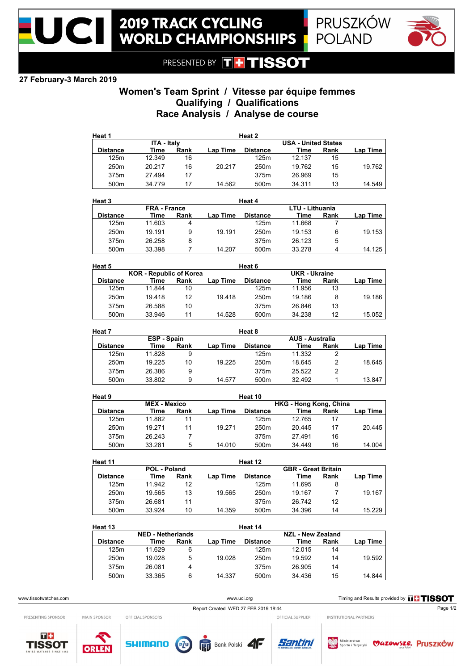





PRESENTED BY THTISSOT

## **27 February-3 March 2019**

# **Women's Team Sprint / Vitesse par équipe femmes Qualifying / Qualifications Race Analysis / Analyse de course**

| Heat 1           |                    |      |          | Heat 2           |                            |      |          |
|------------------|--------------------|------|----------|------------------|----------------------------|------|----------|
|                  | <b>ITA - Italy</b> |      |          |                  | <b>USA - United States</b> |      |          |
| <b>Distance</b>  | Time               | Rank | Lap Time | <b>Distance</b>  | Time                       | Rank | Lap Time |
| 125m             | 12.349             | 16   |          | 125m             | 12.137                     | 15   |          |
| 250 <sub>m</sub> | 20 217             | 16   | 20.217   | 250 <sub>m</sub> | 19.762                     | 15   | 19.762   |
| 375m             | 27.494             | 17   |          | 375m             | 26.969                     | 15   |          |
| 500m             | 34.779             | 17   | 14.562   | 500 <sub>m</sub> | 34.311                     | 13   | 14.549   |

| Heat 3           |                     |      |          | Heat 4           |                 |      |          |
|------------------|---------------------|------|----------|------------------|-----------------|------|----------|
|                  | <b>FRA</b> - France |      |          |                  | LTU - Lithuania |      |          |
| <b>Distance</b>  | Time                | Rank | Lap Time | <b>Distance</b>  | Time            | Rank | Lap Time |
| 125m             | 11.603              | 4    |          | 125m             | 11.668          |      |          |
| 250 <sub>m</sub> | 19 191              | 9    | 19.191   | 250 <sub>m</sub> | 19.153          | 6    | 19.153   |
| 375m             | 26.258              | 8    |          | 375m             | 26 123          | 5    |          |
| 500m             | 33.398              |      | 14.207   | 500 <sub>m</sub> | 33.278          | 4    | 14.125   |

| Heat 5                         |        |      |          | Heat 6               |        |      |          |
|--------------------------------|--------|------|----------|----------------------|--------|------|----------|
| <b>KOR</b> - Republic of Korea |        |      |          | <b>UKR</b> - Ukraine |        |      |          |
| <b>Distance</b>                | Time   | Rank | Lap Time | <b>Distance</b>      | Time   | Rank | Lap Time |
| 125m                           | 11.844 | 10   |          | 125m                 | 11.956 | 13   |          |
| 250m                           | 19.418 | 12   | 19.418   | 250 <sub>m</sub>     | 19.186 | 8    | 19.186   |
| 375m                           | 26.588 | 10   |          | 375m                 | 26.846 | 13   |          |
| 500m                           | 33.946 | 11   | 14.528   | 500m                 | 34.238 | 12   | 15.052   |

| Heat 7<br>Heat 8 |                    |      |          |                  |                        |      |          |
|------------------|--------------------|------|----------|------------------|------------------------|------|----------|
|                  | <b>ESP - Spain</b> |      |          |                  | <b>AUS - Australia</b> |      |          |
| <b>Distance</b>  | Time               | Rank | Lap Time | <b>Distance</b>  | Time                   | Rank | Lap Time |
| 125m             | 11.828             | 9    |          | 125m             | 11.332                 |      |          |
| 250m             | 19.225             | 10   | 19.225   | 250 <sub>m</sub> | 18.645                 |      | 18.645   |
| 375m             | 26.386             | 9    |          | 375m             | 25.522                 | 2    |          |
| 500m             | 33.802             | 9    | 14.577   | 500m             | 32.492                 |      | 13.847   |

| Heat 9              |        |      |          | Heat 10                |        |      |          |
|---------------------|--------|------|----------|------------------------|--------|------|----------|
| <b>MEX - Mexico</b> |        |      |          | HKG - Hong Kong, China |        |      |          |
| <b>Distance</b>     | Time   | Rank | Lap Time | <b>Distance</b>        | Time   | Rank | Lap Time |
| 125m                | 11.882 | 11   |          | 125m                   | 12.765 | 17   |          |
| 250 <sub>m</sub>    | 19 271 | 11   | 19.271   | 250 <sub>m</sub>       | 20.445 | 17   | 20.445   |
| 375m                | 26.243 |      |          | 375m                   | 27.491 | 16   |          |
| 500 <sub>m</sub>    | 33.281 | 5    | 14.010   | 500 <sub>m</sub>       | 34.449 | 16   | 14.004   |

| Heat 12<br>Heat 11 |              |      |          |                  |                            |      |              |
|--------------------|--------------|------|----------|------------------|----------------------------|------|--------------|
|                    | POL - Poland |      |          |                  | <b>GBR</b> - Great Britain |      |              |
| <b>Distance</b>    | Time         | Rank | Lap Time | <b>Distance</b>  | Time                       | Rank | Lap Time $ $ |
| 125m               | 11.942       | 12   |          | 125m             | 11.695                     | 8    |              |
| 250 <sub>m</sub>   | 19.565       | 13   | 19.565   | 250 <sub>m</sub> | 19.167                     |      | 19.167       |
| 375m               | 26.681       | 11   |          | 375m             | 26742                      | 12   |              |
| 500 <sub>m</sub>   | 33.924       | 10   | 14.359   | 500 <sub>m</sub> | 34.396                     | 14   | 15.229       |

| Heat 13<br>Heat 14       |        |      |                          |                  |        |      |          |
|--------------------------|--------|------|--------------------------|------------------|--------|------|----------|
| <b>NED - Netherlands</b> |        |      | <b>NZL - New Zealand</b> |                  |        |      |          |
| <b>Distance</b>          | Time   | Rank | <b>Lap Time</b>          | <b>Distance</b>  | Time   | Rank | Lap Time |
| 125m                     | 11.629 | 6    |                          | 125m             | 12 015 | 14   |          |
| 250 <sub>m</sub>         | 19.028 | 5    | 19.028                   | 250 <sub>m</sub> | 19.592 | 14   | 19.592   |
| 375m                     | 26.081 | 4    |                          | 375m             | 26.905 | 14   |          |
| 500m                     | 33.365 | 6    | 14.337                   | 500 <sub>m</sub> | 34.436 | 15   | 14.844   |

PRESENTING SPONSOR

MAIN SPONSOR

www.uci.org Timing and Results provided by **THSSOT** 

OFFICIAL SPONSORS

Report Created WED 27 FEB 2019 18:44

INSTITUTIONAL PARTNERS











OFFICIAL SUPPLIER